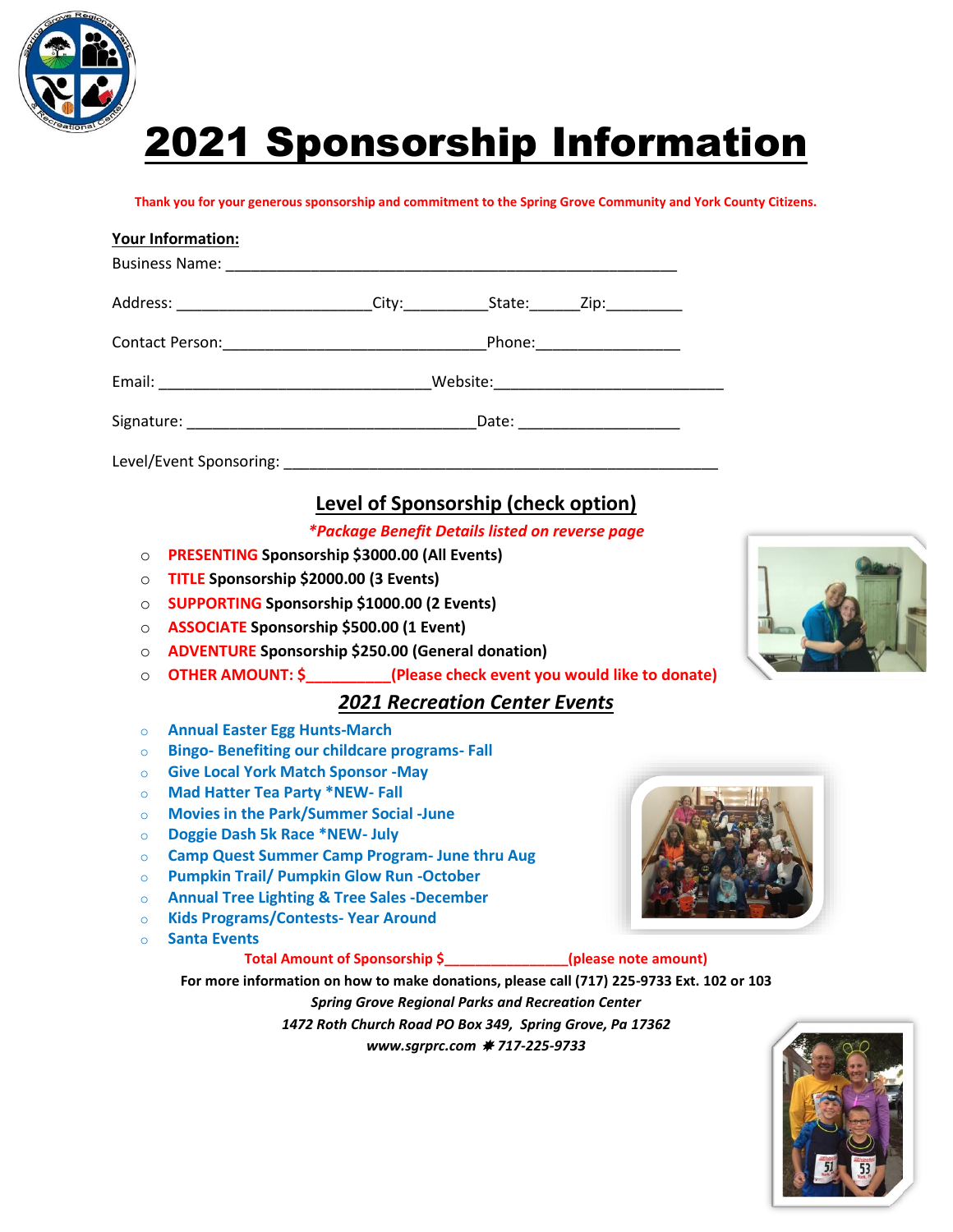

# 2021 Sponsorship Information

**Thank you for your generous sponsorship and commitment to the Spring Grove Community and York County Citizens.**

|          | <b>Your Information:</b>                                                                                                                                         |                                                                                           |  |  |  |
|----------|------------------------------------------------------------------------------------------------------------------------------------------------------------------|-------------------------------------------------------------------------------------------|--|--|--|
|          |                                                                                                                                                                  |                                                                                           |  |  |  |
|          | Address: ___________________________City:_____________State:________Zip:__________                                                                               |                                                                                           |  |  |  |
|          |                                                                                                                                                                  |                                                                                           |  |  |  |
|          |                                                                                                                                                                  |                                                                                           |  |  |  |
|          |                                                                                                                                                                  |                                                                                           |  |  |  |
|          |                                                                                                                                                                  |                                                                                           |  |  |  |
|          |                                                                                                                                                                  | Level of Sponsorship (check option)                                                       |  |  |  |
|          |                                                                                                                                                                  | *Package Benefit Details listed on reverse page                                           |  |  |  |
| $\circ$  | PRESENTING Sponsorship \$3000.00 (All Events)                                                                                                                    |                                                                                           |  |  |  |
| $\circ$  | TITLE Sponsorship \$2000.00 (3 Events)                                                                                                                           |                                                                                           |  |  |  |
| $\Omega$ | <b>SUPPORTING Sponsorship \$1000.00 (2 Events)</b>                                                                                                               |                                                                                           |  |  |  |
| $\circ$  | <b>ASSOCIATE Sponsorship \$500.00 (1 Event)</b>                                                                                                                  |                                                                                           |  |  |  |
|          | <b>ADVENTURE Sponsorship \$250.00 (General donation)</b><br>$\circ$                                                                                              |                                                                                           |  |  |  |
|          | OTHER AMOUNT: \$ ___________(Please check event you would like to donate)<br>$\circ$                                                                             |                                                                                           |  |  |  |
|          |                                                                                                                                                                  |                                                                                           |  |  |  |
|          |                                                                                                                                                                  | <b>2021 Recreation Center Events</b>                                                      |  |  |  |
| $\circ$  | <b>Annual Easter Egg Hunts-March</b>                                                                                                                             |                                                                                           |  |  |  |
| $\circ$  | <b>Bingo-Benefiting our childcare programs-Fall</b>                                                                                                              |                                                                                           |  |  |  |
| $\Omega$ | <b>Give Local York Match Sponsor -May</b>                                                                                                                        |                                                                                           |  |  |  |
| $\Omega$ | <b>Mad Hatter Tea Party *NEW- Fall</b>                                                                                                                           |                                                                                           |  |  |  |
| $\circ$  | <b>Movies in the Park/Summer Social -June</b>                                                                                                                    |                                                                                           |  |  |  |
| $\circ$  | Doggie Dash 5k Race *NEW- July<br><b>Camp Quest Summer Camp Program- June thru Aug</b><br>$\Omega$<br><b>Pumpkin Trail/ Pumpkin Glow Run -October</b><br>$\circ$ |                                                                                           |  |  |  |
|          |                                                                                                                                                                  |                                                                                           |  |  |  |
|          |                                                                                                                                                                  |                                                                                           |  |  |  |
| $\circ$  | <b>Annual Tree Lighting &amp; Tree Sales -December</b>                                                                                                           |                                                                                           |  |  |  |
| $\circ$  | <b>Kids Programs/Contests-Year Around</b>                                                                                                                        |                                                                                           |  |  |  |
| $\Omega$ | <b>Santa Events</b>                                                                                                                                              |                                                                                           |  |  |  |
|          |                                                                                                                                                                  | Total Amount of Sponsorship \$_______________(please note amount)                         |  |  |  |
|          |                                                                                                                                                                  | For more information on how to make donations, please call (717) 225-9733 Ext. 102 or 103 |  |  |  |

*Spring Grove Regional Parks and Recreation Center 1472 Roth Church Road PO Box 349, Spring Grove, Pa 17362 www.sgrprc.com 717-225-9733*